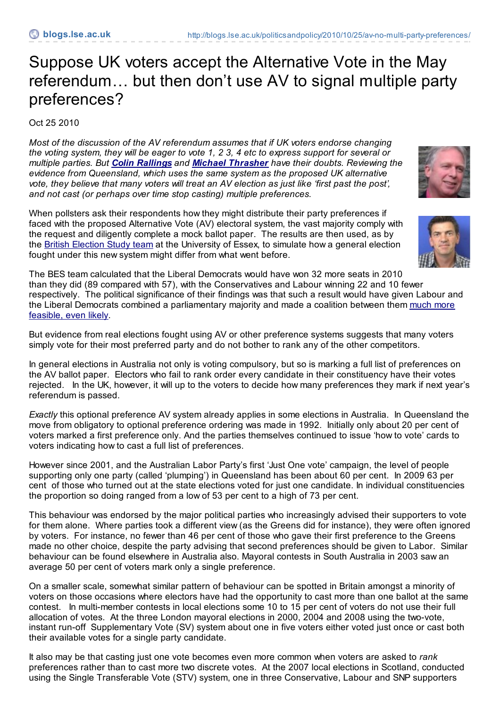## Suppose UK voters accept the Alternative Vote in the May referendum… but then don't use AV to signal multiple party preferences?

Oct 25 2010

*Most of the discussion of the AV referendum assumes that if UK voters endorse changing* the voting system, they will be eager to vote 1, 2 3, 4 etc to express support for several or *multiple parties. But Colin [Rallings](http://blogs.lse.ac.uk/politicsandpolicy/contributors/#Colin_Rallings) and Michael [Thrasher](http://blogs.lse.ac.uk/politicsandpolicy/contributors/#Michael_Thrasher) have their doubts. Reviewing the evidence from Queensland, which uses the same system as the proposed UK alternative vote, they believe that many voters will treat an AV election as just like 'first past the post', and not cast (or perhaps over time stop casting) multiple preferences.*

When pollsters ask their respondents how they might distribute their party preferences if faced with the proposed Alternative Vote (AV) electoral system, the vast majority comply with the request and diligently complete a mock ballot paper. The results are then used, as by the British [Election](http://bes.utdallas.edu/2009/) Study team at the University of Essex, to simulate how a general election fought under this new system might differ from what went before.





The BES team calculated that the Liberal Democrats would have won 32 more seats in 2010 than they did (89 compared with 57), with the Conservatives and Labour winning 22 and 10 fewer respectively. The political significance of their findings was that such a result would have given Labour and the Liberal Democrats combined a [parliamentary](http://www.hansardsociety.org.uk/blogs/press_releases/archive/2010/10/08/who-would-benefit-from-av-oct-8-2010.aspx) majority and made a coalition between them much more feasible, even likely.

But evidence from real elections fought using AV or other preference systems suggests that many voters simply vote for their most preferred party and do not bother to rank any of the other competitors.

In general elections in Australia not only is voting compulsory, but so is marking a full list of preferences on the AV ballot paper. Electors who fail to rank order every candidate in their constituency have their votes rejected. In the UK, however, it will up to the voters to decide how many preferences they mark if next year's referendum is passed.

*Exactly* this optional preference AV system already applies in some elections in Australia. In Queensland the move from obligatory to optional preference ordering was made in 1992. Initially only about 20 per cent of voters marked a first preference only. And the parties themselves continued to issue 'how to vote' cards to voters indicating how to cast a full list of preferences.

However since 2001, and the Australian Labor Party's first 'Just One vote' campaign, the level of people supporting only one party (called 'plumping') in Queensland has been about 60 per cent. In 2009 63 per cent of those who turned out at the state elections voted for just one candidate. In individual constituencies the proportion so doing ranged from a low of 53 per cent to a high of 73 per cent.

This behaviour was endorsed by the major political parties who increasingly advised their supporters to vote for them alone. Where parties took a different view (as the Greens did for instance), they were often ignored by voters. For instance, no fewer than 46 per cent of those who gave their first preference to the Greens made no other choice, despite the party advising that second preferences should be given to Labor. Similar behaviour can be found elsewhere in Australia also. Mayoral contests in South Australia in 2003 saw an average 50 per cent of voters mark only a single preference.

On a smaller scale, somewhat similar pattern of behaviour can be spotted in Britain amongst a minority of voters on those occasions where electors have had the opportunity to cast more than one ballot at the same contest. In multi-member contests in local elections some 10 to 15 per cent of voters do not use their full allocation of votes. At the three London mayoral elections in 2000, 2004 and 2008 using the two-vote, instant run-off Supplementary Vote (SV) system about one in five voters either voted just once or cast both their available votes for a single party candidate.

It also may be that casting just one vote becomes even more common when voters are asked to *rank* preferences rather than to cast more two discrete votes. At the 2007 local elections in Scotland, conducted using the Single Transferable Vote (STV) system, one in three Conservative, Labour and SNP supporters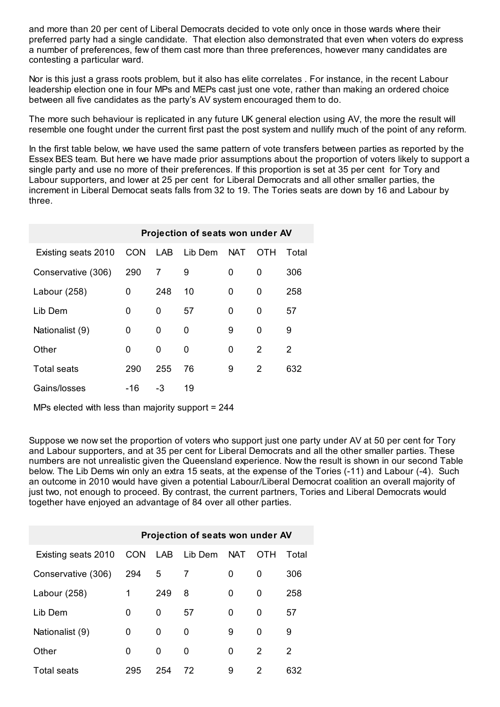and more than 20 per cent of Liberal Democrats decided to vote only once in those wards where their preferred party had a single candidate. That election also demonstrated that even when voters do express a number of preferences, few of them cast more than three preferences, however many candidates are contesting a particular ward.

Nor is this just a grass roots problem, but it also has elite correlates . For instance, in the recent Labour leadership election one in four MPs and MEPs cast just one vote, rather than making an ordered choice between all five candidates as the party's AV system encouraged them to do.

The more such behaviour is replicated in any future UK general election using AV, the more the result will resemble one fought under the current first past the post system and nullify much of the point of any reform.

In the first table below, we have used the same pattern of vote transfers between parties as reported by the Essex BES team. But here we have made prior assumptions about the proportion of voters likely to support a single party and use no more of their preferences. If this proportion is set at 35 per cent for Tory and Labour supporters, and lower at 25 per cent for Liberal Democrats and all other smaller parties, the increment in Liberal Democat seats falls from 32 to 19. The Tories seats are down by 16 and Labour by three.

|                     | Projection of seats won under AV |     |             |            |     |       |  |  |
|---------------------|----------------------------------|-----|-------------|------------|-----|-------|--|--|
| Existing seats 2010 | <b>CON</b>                       |     | LAB Lib Dem | <b>NAT</b> | ОТН | Total |  |  |
| Conservative (306)  | 290                              | 7   | 9           | 0          | 0   | 306   |  |  |
| Labour (258)        | 0                                | 248 | 10          | 0          | 0   | 258   |  |  |
| Lib Dem             | 0                                | 0   | 57          | 0          | 0   | 57    |  |  |
| Nationalist (9)     | 0                                | 0   | 0           | 9          | 0   | 9     |  |  |
| Other               | 0                                | 0   | 0           | 0          | 2   | 2     |  |  |
| <b>Total seats</b>  | 290                              | 255 | 76          | 9          | 2   | 632   |  |  |
| Gains/losses        | -16                              | -3  | 19          |            |     |       |  |  |

MPs elected with less than majority support = 244

Suppose we now set the proportion of voters who support just one party under AV at 50 per cent for Tory and Labour supporters, and at 35 per cent for Liberal Democrats and all the other smaller parties. These numbers are not unrealistic given the Queensland experience. Now the result is shown in our second Table below. The Lib Dems win only an extra 15 seats, at the expense of the Tories (-11) and Labour (-4). Such an outcome in 2010 would have given a potential Labour/Liberal Democrat coalition an overall majority of just two, not enough to proceed. By contrast, the current partners, Tories and Liberal Democrats would together have enjoyed an advantage of 84 over all other parties.

|                     | Projection of seats won under AV |     |         |            |     |       |  |  |  |
|---------------------|----------------------------------|-----|---------|------------|-----|-------|--|--|--|
| Existing seats 2010 | <b>CON</b>                       | LAB | Lib Dem | <b>NAT</b> | OTH | Total |  |  |  |
| Conservative (306)  | 294                              | 5   | 7       | 0          | 0   | 306   |  |  |  |
| Labour (258)        | 1                                | 249 | 8       | 0          | 0   | 258   |  |  |  |
| Lib Dem             | 0                                | 0   | 57      | 0          | 0   | 57    |  |  |  |
| Nationalist (9)     | 0                                | 0   | 0       | 9          | 0   | 9     |  |  |  |
| Other               | O                                | 0   | 0       | 0          | 2   | 2     |  |  |  |
| <b>Total seats</b>  | 295                              | 254 | 72      | 9          | 2   | 632   |  |  |  |